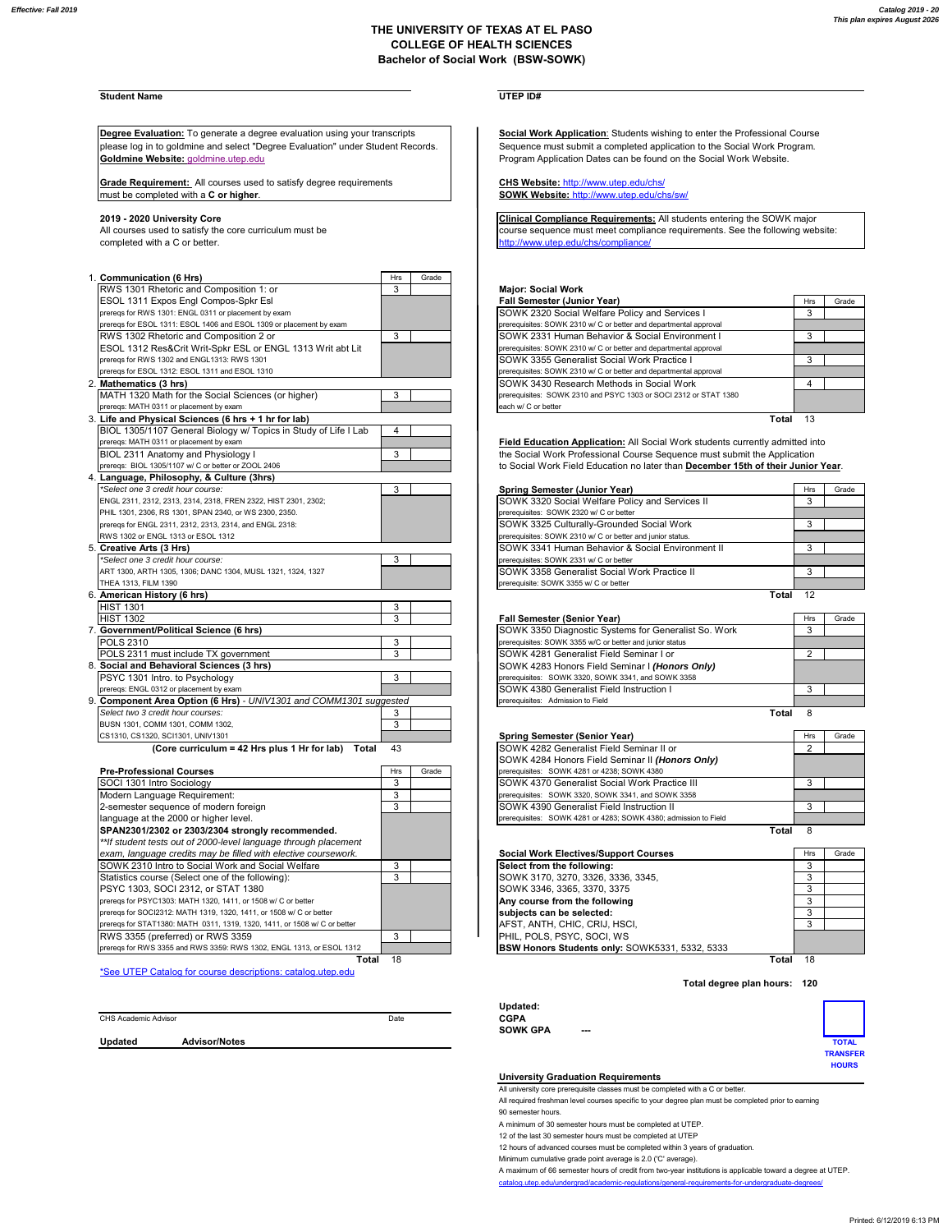## **THE UNIVERSITY OF TEXAS AT EL PASO COLLEGE OF HEALTH SCIENCES Bachelor of Social Work (BSW-SOWK)**

# **Student Name UTEP ID#**

**Degree Evaluation:** To generate a degree evaluation using your transcripts **Social Work Application:** Students wishing to enter the Professional Course please log in to goldmine and select "Degree Evaluation" under Student Records.<br>**Goldmine Website:** goldmine.utep.edu<br>Program Application Dates can be found on the Social Work Website.

**Grade Requirement:** All courses used to satisfy degree requirements Grade Requirement: All courses used to satisfy degree requirements **SOWK Website:** http://www.utep.edu/chs/sw/<br>must be completed with a **C or higher**.

completed with a C or better.  $h$  http://www.utep.edu/chs/co

| 1. Communication (6 Hrs)                                            | Hrs                                             | Grade |                                                                                  |                |    |
|---------------------------------------------------------------------|-------------------------------------------------|-------|----------------------------------------------------------------------------------|----------------|----|
| RWS 1301 Rhetoric and Composition 1: or                             | 3                                               |       | <b>Major: Social Work</b>                                                        |                |    |
| ESOL 1311 Expos Engl Compos-Spkr Esl                                |                                                 |       | <b>Fall Semester (Junior Year)</b>                                               | Hrs            | Gr |
| prereqs for RWS 1301: ENGL 0311 or placement by exam                |                                                 |       | SOWK 2320 Social Welfare Policy and Services I                                   | 3              |    |
| prereqs for ESOL 1311: ESOL 1406 and ESOL 1309 or placement by exam |                                                 |       | prerequisites: SOWK 2310 w/ C or better and departmental approval                |                |    |
| RWS 1302 Rhetoric and Composition 2 or                              | 3                                               |       | SOWK 2331 Human Behavior & Social Environment I                                  | 3              |    |
| ESOL 1312 Res&Crit Writ-Spkr ESL or ENGL 1313 Writ abt Lit          |                                                 |       | prerequisites: SOWK 2310 w/ C or better and departmental approval                |                |    |
| prereqs for RWS 1302 and ENGL1313: RWS 1301                         |                                                 |       | SOWK 3355 Generalist Social Work Practice I                                      | 3              |    |
| prereqs for ESOL 1312: ESOL 1311 and ESOL 1310                      |                                                 |       | prerequisites: SOWK 2310 w/ C or better and departmental approval                |                |    |
| 2. Mathematics (3 hrs)                                              |                                                 |       | SOWK 3430 Research Methods in Social Work                                        | 4              |    |
| MATH 1320 Math for the Social Sciences (or higher)                  | 3                                               |       | prerequisites: SOWK 2310 and PSYC 1303 or SOCI 2312 or STAT 1380                 |                |    |
| prereqs: MATH 0311 or placement by exam                             |                                                 |       | each w/ C or better                                                              |                |    |
| 3. Life and Physical Sciences (6 hrs + 1 hr for lab)                |                                                 |       |                                                                                  | Total 13       |    |
| BIOL 1305/1107 General Biology w/ Topics in Study of Life I Lab     | 4                                               |       |                                                                                  |                |    |
| preregs: MATH 0311 or placement by exam                             |                                                 |       | Field Education Application: All Social Work students currently admitted into    |                |    |
| BIOL 2311 Anatomy and Physiology I                                  | 3                                               |       | the Social Work Professional Course Sequence must submit the Application         |                |    |
| prereqs: BIOL 1305/1107 w/ C or better or ZOOL 2406                 |                                                 |       | to Social Work Field Education no later than December 15th of their Junior Year. |                |    |
| 4. Language, Philosophy, & Culture (3hrs)                           |                                                 |       |                                                                                  |                |    |
| *Select one 3 credit hour course:                                   | 3                                               |       | Spring Semester (Junior Year)                                                    | Hrs            | Gr |
| ENGL 2311, 2312, 2313, 2314, 2318, FREN 2322, HIST 2301, 2302;      | SOWK 3320 Social Welfare Policy and Services II |       |                                                                                  | 3              |    |
| PHIL 1301, 2306, RS 1301, SPAN 2340, or WS 2300, 2350.              |                                                 |       | prerequisites: SOWK 2320 w/ C or better                                          |                |    |
| preregs for ENGL 2311, 2312, 2313, 2314, and ENGL 2318:             |                                                 |       | SOWK 3325 Culturally-Grounded Social Work                                        | 3              |    |
| RWS 1302 or ENGL 1313 or ESOL 1312                                  |                                                 |       | prerequisites: SOWK 2310 w/ C or better and junior status.                       |                |    |
| 5. Creative Arts (3 Hrs)                                            |                                                 |       | SOWK 3341 Human Behavior & Social Environment II                                 | 3              |    |
| *Select one 3 credit hour course:                                   | 3                                               |       | prerequisites: SOWK 2331 w/ C or better                                          |                |    |
| ART 1300, ARTH 1305, 1306; DANC 1304, MUSL 1321, 1324, 1327         |                                                 |       | SOWK 3358 Generalist Social Work Practice II                                     | 3              |    |
| THEA 1313, FILM 1390                                                |                                                 |       | prerequisite: SOWK 3355 w/ C or better                                           |                |    |
| 6. American History (6 hrs)                                         |                                                 |       | Total                                                                            | 12             |    |
| <b>HIST 1301</b>                                                    | 3                                               |       |                                                                                  |                |    |
| <b>HIST 1302</b>                                                    | 3                                               |       | <b>Fall Semester (Senior Year)</b>                                               | Hrs            | Gr |
| 7. Government/Political Science (6 hrs)                             |                                                 |       | SOWK 3350 Diagnostic Systems for Generalist So. Work                             | 3              |    |
| <b>POLS 2310</b>                                                    | 3                                               |       | prerequisites: SOWK 3355 w/C or better and junior status                         |                |    |
| POLS 2311 must include TX government                                | 3                                               |       | SOWK 4281 Generalist Field Seminar I or                                          | $\overline{2}$ |    |
| 8. Social and Behavioral Sciences (3 hrs)                           |                                                 |       | SOWK 4283 Honors Field Seminar I (Honors Only)                                   |                |    |
| PSYC 1301 Intro. to Psychology                                      | 3                                               |       | prerequisites: SOWK 3320, SOWK 3341, and SOWK 3358                               |                |    |
| prereqs: ENGL 0312 or placement by exam                             |                                                 |       | SOWK 4380 Generalist Field Instruction I                                         | 3              |    |
| 9. Component Area Option (6 Hrs) - UNIV1301 and COMM1301 suggested  |                                                 |       | prerequisites: Admission to Field                                                |                |    |
| Select two 3 credit hour courses:                                   | 3                                               |       | Total                                                                            | 8              |    |
| BUSN 1301, COMM 1301, COMM 1302,                                    | 3                                               |       |                                                                                  |                |    |
| CS1310, CS1320, SCI1301, UNIV1301                                   |                                                 |       | Spring Semester (Senior Year)                                                    | Hrs            | Gr |
| (Core curriculum = 42 Hrs plus 1 Hr for lab)<br>Total               | 43                                              |       | SOWK 4282 Generalist Field Seminar II or                                         | $\overline{2}$ |    |
|                                                                     |                                                 |       | SOWK 4284 Honors Field Seminar II (Honors Only)                                  |                |    |
| <b>Pre-Professional Courses</b>                                     | Hrs                                             | Grade | prerequisites: SOWK 4281 or 4238; SOWK 4380                                      |                |    |

| FIGTIVIGSSIVIIAI GUUISES                                                  | .  | uuu                                                   | DICIOUGHOLOG. OUTIIN TEUT UI TEUU, OUTIIN TUUU                  |     |
|---------------------------------------------------------------------------|----|-------------------------------------------------------|-----------------------------------------------------------------|-----|
| SOCI 1301 Intro Sociology                                                 | 3  | <b>ISOWK 4370 Generalist Social Work Practice III</b> | 3                                                               |     |
| Modern Language Requirement:                                              | 3  |                                                       | prerequisites: SOWK 3320, SOWK 3341, and SOWK 3358              |     |
| 2-semester sequence of modern foreign                                     | 3  |                                                       | <b>ISOWK 4390 Generalist Field Instruction II</b>               | 3   |
| language at the 2000 or higher level.                                     |    |                                                       | prerequisites: SOWK 4281 or 4283; SOWK 4380; admission to Field |     |
| SPAN2301/2302 or 2303/2304 strongly recommended.                          |    |                                                       | Total 8                                                         |     |
| ** If student tests out of 2000-level language through placement          |    |                                                       |                                                                 |     |
| exam, language credits may be filled with elective coursework.            |    |                                                       | <b>Social Work Electives/Support Courses</b>                    | Hrs |
| <b>ISOWK 2310 Intro to Social Work and Social Welfare</b>                 | 3  |                                                       | Select from the following:                                      | 3   |
| Statistics course (Select one of the following):                          |    |                                                       | SOWK 3170, 3270, 3326, 3336, 3345,                              |     |
| PSYC 1303, SOCI 2312, or STAT 1380                                        |    |                                                       | ISOWK 3346. 3365. 3370. 3375                                    |     |
| prereqs for PSYC1303: MATH 1320, 1411, or 1508 w/ C or better             |    |                                                       | Any course from the following                                   |     |
| prereqs for SOCI2312: MATH 1319, 1320, 1411, or 1508 w/ C or better       |    |                                                       | subjects can be selected:                                       |     |
| prereqs for STAT1380: MATH 0311, 1319, 1320, 1411, or 1508 w/ C or better |    |                                                       | AFST. ANTH. CHIC. CRIJ. HSCI.                                   | 3   |
| RWS 3355 (preferred) or RWS 3359                                          | 3  |                                                       | PHIL, POLS, PSYC, SOCI, WS                                      |     |
| prereqs for RWS 3355 and RWS 3359: RWS 1302, ENGL 1313, or ESOL 1312      |    |                                                       | <b>BSW Honors Students only: SOWK5331, 5332, 5333</b>           |     |
| Total                                                                     | 18 |                                                       | Total 18                                                        |     |

\*See UTEP Catalog for course descriptions: catalog.utep.edu

Program Application Dates can be found on the Social Work Website.

2019 - 2020 University Core<br>All courses used to satisfy the core curriculum must be example and the sequence must meet compliance requirements: See the following website:

## RWS 1301 Rhetoric and Composition 1: or 3 **Major: Social Work**

| ESOL 1311 Expos Engl Compos-Spkr Esl                                | <b>Fall Semester (Junior Year)</b>                                | Hrs | Grade |
|---------------------------------------------------------------------|-------------------------------------------------------------------|-----|-------|
| prereqs for RWS 1301: ENGL 0311 or placement by exam                | SOWK 2320 Social Welfare Policy and Services I                    |     |       |
| preregs for ESOL 1311: ESOL 1406 and ESOL 1309 or placement by exam | prerequisites: SOWK 2310 w/ C or better and departmental approval |     |       |
| RWS 1302 Rhetoric and Composition 2 or                              | <b>SOWK 2331 Human Behavior &amp; Social Environment I</b>        |     |       |
| ESOL 1312 Res&Crit Writ-Spkr ESL or ENGL 1313 Writ abt Lit          | prerequisites: SOWK 2310 w/ C or better and departmental approval |     |       |
| preregs for RWS 1302 and ENGL1313: RWS 1301                         | SOWK 3355 Generalist Social Work Practice I                       |     |       |
| preregs for ESOL 1312: ESOL 1311 and ESOL 1310                      | prerequisites: SOWK 2310 w/ C or better and departmental approval |     |       |
| Mathematics (3 hrs)                                                 | SOWK 3430 Research Methods in Social Work                         |     |       |
| MATH 1320 Math for the Social Sciences (or higher)                  | prerequisites: SOWK 2310 and PSYC 1303 or SOCI 2312 or STAT 1380  |     |       |
| preregs: MATH 0311 or placement by exam                             | each w/ C or better                                               |     |       |
| l ifo and Physical Sciences (6 hrs + 1 hr for lah)                  | <b>Total</b>                                                      | 12  |       |

| *Select one 3 credit hour course:                              |  | Spring Semester (Junior Year)                               | Hrs | Grade |
|----------------------------------------------------------------|--|-------------------------------------------------------------|-----|-------|
| ENGL 2311, 2312, 2313, 2314, 2318, FREN 2322, HIST 2301, 2302; |  | SOWK 3320 Social Welfare Policy and Services II             |     |       |
| PHIL 1301, 2306, RS 1301, SPAN 2340, or WS 2300, 2350.         |  | prerequisites: SOWK 2320 w/ C or better                     |     |       |
| preregs for ENGL 2311, 2312, 2313, 2314, and ENGL 2318:        |  | SOWK 3325 Culturally-Grounded Social Work                   |     |       |
| RWS 1302 or ENGL 1313 or ESOL 1312                             |  | prerequisites: SOWK 2310 w/ C or better and junior status.  |     |       |
| Creative Arts (3 Hrs)                                          |  | <b>SOWK 3341 Human Behavior &amp; Social Environment II</b> |     |       |
| *Select one 3 credit hour course:                              |  | prerequisites: SOWK 2331 w/ C or better                     |     |       |
| ART 1300, ARTH 1305, 1306; DANC 1304, MUSL 1321, 1324, 1327    |  | SOWK 3358 Generalist Social Work Practice II                |     |       |
| THEA 1313, FILM 1390                                           |  | prerequisite: SOWK 3355 w/ C or better                      |     |       |
| American History (6 hrs)                                       |  | Total                                                       |     |       |

| <b>HIST 1302</b>                                                |  |  |                                                | <b>Fall Semester (Senior Year)</b>                       | Hrs | Grade |
|-----------------------------------------------------------------|--|--|------------------------------------------------|----------------------------------------------------------|-----|-------|
| <b>Government/Political Science (6 hrs)</b>                     |  |  |                                                | SOWK 3350 Diagnostic Systems for Generalist So. Work     |     |       |
| POLS 2310                                                       |  |  |                                                | prerequisites: SOWK 3355 w/C or better and junior status |     |       |
| POLS 2311 must include TX government                            |  |  |                                                | SOWK 4281 Generalist Field Seminar I or                  |     |       |
| Social and Behavioral Sciences (3 hrs)                          |  |  | SOWK 4283 Honors Field Seminar I (Honors Only) |                                                          |     |       |
| PSYC 1301 Intro. to Psychology                                  |  |  |                                                | prerequisites: SOWK 3320, SOWK 3341, and SOWK 3358       |     |       |
| preregs: ENGL 0312 or placement by exam                         |  |  |                                                | SOWK 4380 Generalist Field Instruction I                 |     |       |
| Component Area Option (6 Hrs) - UNIV1301 and COMM1301 suggested |  |  | prerequisites: Admission to Field              |                                                          |     |       |
|                                                                 |  |  |                                                |                                                          |     |       |

|                                                    | . .        |       |                                                                 |     |       |
|----------------------------------------------------|------------|-------|-----------------------------------------------------------------|-----|-------|
| CS1310, CS1320, SCI1301, UNIV1301                  |            |       | Spring Semester (Senior Year)                                   | Hrs | Grade |
| (Core curriculum = 42 Hrs plus 1 Hr for lab) Total | - 43       |       | <b>ISOWK 4282 Generalist Field Seminar II or</b>                |     |       |
|                                                    |            |       | SOWK 4284 Honors Field Seminar II (Honors Only)                 |     |       |
| <b>Pre-Professional Courses</b>                    | <b>Hrs</b> | Grade | prerequisites: SOWK 4281 or 4238; SOWK 4380                     |     |       |
| SOCI 1301 Intro Sociology                          |            |       | SOWK 4370 Generalist Social Work Practice III                   |     |       |
| Modern Language Requirement:                       |            |       | prerequisites: SOWK 3320, SOWK 3341, and SOWK 3358              |     |       |
| 2-semester sequence of modern foreign              |            |       | SOWK 4390 Generalist Field Instruction II                       |     |       |
| language at the 2000 or higher level.              |            |       | prerequisites: SOWK 4281 or 4283: SOWK 4380: admission to Field |     |       |
| SPAN2301/2302 or 2303/2304 strongly recommended.   |            |       | Total                                                           |     |       |

| n student tests out or zooo-lever language unough placement               |                                                |            |       |
|---------------------------------------------------------------------------|------------------------------------------------|------------|-------|
| exam, language credits may be filled with elective coursework.            | <b>Social Work Electives/Support Courses</b>   | <b>Hrs</b> | Grade |
| SOWK 2310 Intro to Social Work and Social Welfare                         | Select from the following:                     |            |       |
| Statistics course (Select one of the following):                          | SOWK 3170, 3270, 3326, 3336, 3345,             |            |       |
| PSYC 1303, SOCI 2312, or STAT 1380                                        | ISOWK 3346, 3365, 3370, 3375                   |            |       |
| preregs for PSYC1303: MATH 1320, 1411, or 1508 w/ C or better             | Any course from the following                  |            |       |
| preregs for SOCI2312: MATH 1319, 1320, 1411, or 1508 w/ C or better       | subjects can be selected:                      |            |       |
| preregs for STAT1380: MATH 0311, 1319, 1320, 1411, or 1508 w/ C or better | IAFST. ANTH. CHIC. CRIJ. HSCI.                 |            |       |
| RWS 3355 (preferred) or RWS 3359                                          | <b>IPHIL, POLS, PSYC, SOCI, WS</b>             |            |       |
| preregs for RWS 3355 and RWS 3359: RWS 1302, ENGL 1313, or ESOL 1312      | BSW Honors Students only: SOWK5331, 5332, 5333 |            |       |

**Total degree plan hours: 120**

|                      |                      |      | Updated:        |        |                 |
|----------------------|----------------------|------|-----------------|--------|-----------------|
| CHS Academic Advisor |                      | Date | <b>CGPA</b>     |        |                 |
|                      |                      |      | <b>SOWK GPA</b> | $\sim$ |                 |
| Updated              | <b>Advisor/Notes</b> |      |                 |        | <b>TOTAL</b>    |
|                      |                      |      |                 |        | <b>TRANSFER</b> |
|                      |                      |      |                 |        | <b>HOURS</b>    |

### **University Graduation Requirements**

All university core prerequisite classes must be completed with a C or better.

All required freshman level courses specific to your degree plan must be completed prior to earning

90 semester hours.

A minimum of 30 semester hours must be completed at UTEP.

12 of the last 30 semester hours must be completed at UTEP 12 hours of advanced courses must be completed within 3 years of graduation.

Minimum cumulative grade point average is 2.0 ('C' average).

A maximum of 66 semester hours of credit from two-year institutions is applicable toward a degree at UTEP. catalog.utep.edu/undergrad/academic-regulations/general-requirements-for-undergra